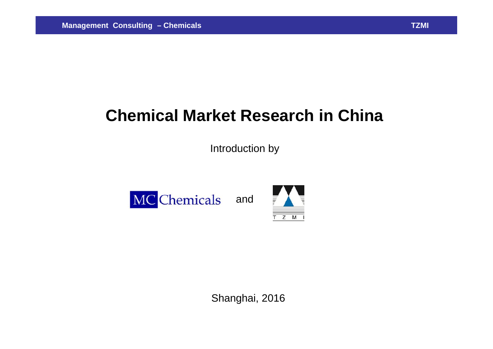# **Chemical Market Research in China**

Introduction by





Shanghai, 2016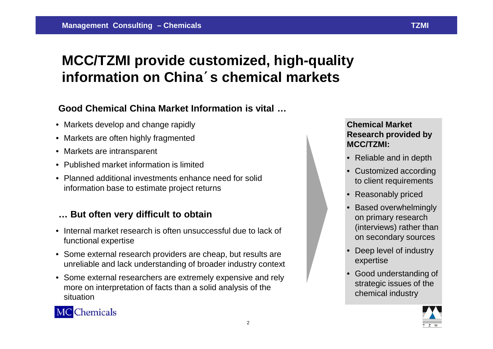## **MCC/TZMI provide customized, high-quality information on China**´**s chemical markets**

### **Good Chemical China Market Information is vital …**

- Markets develop and change rapidly
- Markets are often highly fragmented
- Markets are intransparent
- Published market information is limited
- Planned additional investments enhance need for solid information base to estimate project returns

### **… But often very difficult to obtain**

- Internal market research is often unsuccessful due to lack of functional expertise
- Some external research providers are cheap, but results are unreliable and lack understanding of broader industry context
- Some external researchers are extremely expensive and rely more on interpretation of facts than a solid analysis of the situation

#### **Chemical Market Research provided by MCC/TZMI:**

- Reliable and in depth
- Customized according to client requirements
- Reasonably priced
- Based overwhelmingly on primary research (interviews) rather than on secondary sources
- Deep level of industry expertise
- Good understanding of strategic issues of the chemical industry





2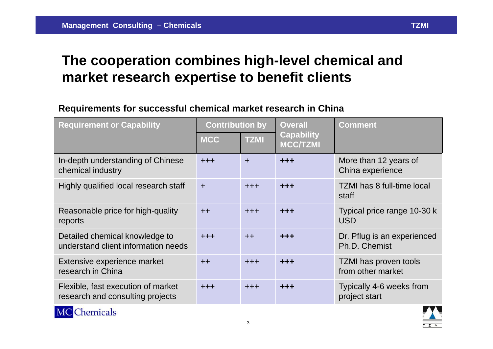## **The cooperation combines high-level chemical and market research expertise to benefit clients**

### **Requirements for successful chemical market research in China**

| <b>Requirement or Capability</b>                                       | <b>Contribution by</b> |             | <b>Overall</b>                       | <b>Comment</b>                               |
|------------------------------------------------------------------------|------------------------|-------------|--------------------------------------|----------------------------------------------|
|                                                                        | <b>MCC</b>             | <b>TZMI</b> | <b>Capability</b><br><b>MCC/TZMI</b> |                                              |
| In-depth understanding of Chinese<br>chemical industry                 | $+ + +$                | $\pm$       | +++                                  | More than 12 years of<br>China experience    |
| Highly qualified local research staff                                  | $\div$                 | $+ + +$     | $+ + +$                              | <b>TZMI has 8 full-time local</b><br>staff   |
| Reasonable price for high-quality<br>reports                           | $++$                   | $+ + +$     | $+ + +$                              | Typical price range 10-30 k<br><b>USD</b>    |
| Detailed chemical knowledge to<br>understand client information needs  | $+ + +$                | $++$        | $+ + +$                              | Dr. Pflug is an experienced<br>Ph.D. Chemist |
| Extensive experience market<br>research in China                       | $++$                   | $+ + +$     | $+ + +$                              | TZMI has proven tools<br>from other market   |
| Flexible, fast execution of market<br>research and consulting projects | $+ + +$                | $+ + +$     | $+ + +$                              | Typically 4-6 weeks from<br>project start    |



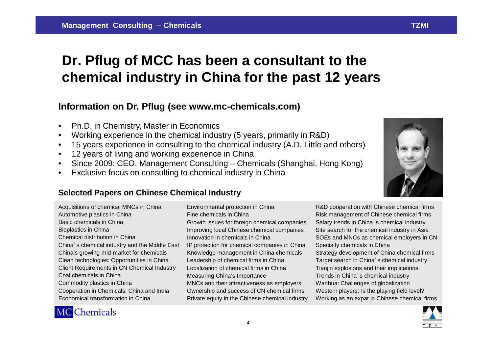## **Dr. Pflug of MCC has been a consultant to the chemical industry in China for the past 12 years**

#### **Information on Dr. Pflug (see www.mc-chemicals.com)**

- Ph.D. in Chemistry, Master in Economics
- Working experience in the chemical industry (5 years, primarily in R&D)
- 15 years experience in consulting to the chemical industry (A.D. Little and others)
- 12 years of living and working experience in China
- Since 2009: CEO, Management Consulting Chemicals (Shanghai, Hong Kong)
- Exclusive focus on consulting to chemical industry in China

#### **Selected Papers on Chinese Chemical Industry**

Acquisitions of chemical MNCs in China Automotive plastics in China Basic chemicals in China Bioplastics in China Chemical distribution in China China´s chemical industry and the Middle East China's growing mid-market for chemicals Clean technologies: Opportunities in China Client Requirements in CN Chemical Industry Coal chemicals in China Commodity plastics in China Cooperation in Chemicals: China and India Economical transformation in China

Fine chemicals in China Growth issues for foreign chemical companies Improving local Chinese chemical companies Innovation in chemicals in China IP protection for chemical companies in China Knowledge management in China chemicals Leadership of chemical firms in China Localization of chemical firms in China Measuring China's Importance MNCs and their attractiveness as employers Ownership and success of CN chemical firms Private equity in the Chinese chemical industry

Environmental protection in China



R&D cooperation with Chinese chemical firms Risk management of Chinese chemical firms Salary trends in China's chemical industry Site search for the chemical industry in Asia SOEs and MNCs as chemical employers in CN Specialty chemicals in China Strategy development of China chemical firms Target search in China´s chemical industry Tianjin explosions and their implications Trends in China´s chemical industry Wanhua: Challenges of globalization Western players: Is the playing field level? Working as an expat in Chinese chemical firms



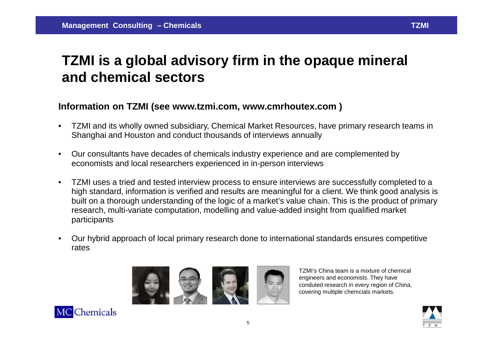## **TZMI is a global advisory firm in the opaque mineral and chemical sectors**

#### **Information on TZMI (see www.tzmi.com, www.cmrhoutex.com )**

- TZMI and its wholly owned subsidiary, Chemical Market Resources, have primary research teams in Shanghai and Houston and conduct thousands of interviews annually
- Our consultants have decades of chemicals industry experience and are complemented by economists and local researchers experienced in in-person interviews
- TZMI uses a tried and tested interview process to ensure interviews are successfully completed to a high standard, information is verified and results are meaningful for a client. We think good analysis is built on a thorough understanding of the logic of a market's value chain. This is the product of primary research, multi-variate computation, modelling and value-added insight from qualified market participants
- Our hybrid approach of local primary research done to international standards ensures competitive rates



TZMI's China team is a mixture of chemical engineers and economists. They have conduted research in every region of China, covering multiple chemcials markets.



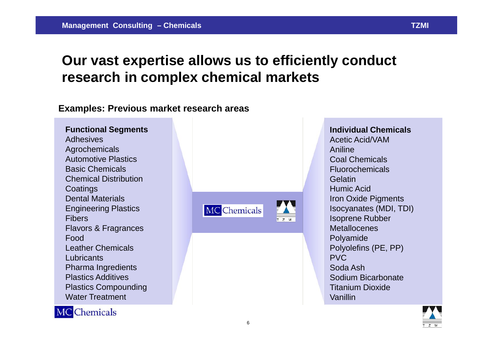### **Our vast expertise allows us to efficiently conduct research in complex chemical markets**

#### **Examples: Previous market research areas**

**Functional Segments** Adhesives Agrochemicals Automotive Plastics Basic Chemicals Chemical Distribution **Coatings** Dental Materials Engineering Plastics Fibers Flavors & Fragrances Food Leather Chemicals **Lubricants** Pharma Ingredients Plastics Additives Plastics Compounding Water Treatment



**Individual Chemicals** Acetic Acid/VAM Aniline Coal Chemicals Fluorochemicals **Gelatin** Humic Acid Iron Oxide Pigments Isocyanates (MDI, TDI) Isoprene Rubber **Metallocenes** Polyamide Polyolefins (PE, PP) PVC Soda Ash Sodium Bicarbonate Titanium Dioxide Vanillin



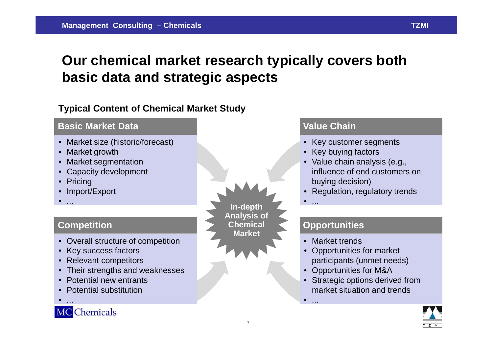## **Our chemical market research typically covers both basic data and strategic aspects**

### **Typical Content of Chemical Market Study**

#### **Basic Market Data**

- Market size (historic/forecast)
- Market growth
- Market segmentation
- Capacity development
- Pricing
- Import/Export
- ...

### **Competition**

- Overall structure of competition
- Key success factors
- Relevant competitors
- Their strengths and weaknesses
- Potential new entrants
- Potential substitution
- ...

### **MC** Chemicals

**In-depth Analysis of Chemical Market**

#### **Value Chain**

- Key customer segments
- Key buying factors
- Value chain analysis (e.g., influence of end customers on buying decision)
- Regulation, regulatory trends
- ...

 $\bullet$  ...

### **Opportunities**

- Market trends
- Opportunities for market participants (unmet needs)
- Opportunities for M&A
- **Strategic options derived from** market situation and trends

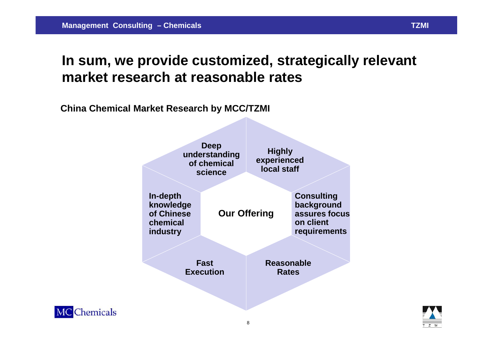## **In sum, we provide customized, strategically relevant market research at reasonable rates**

**China Chemical Market Research by MCC/TZMI**